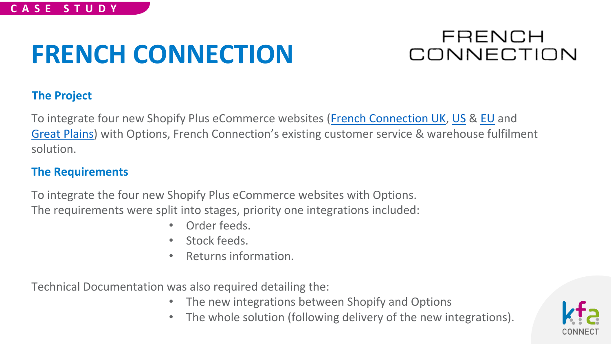### FRENCH CONNECTION

### **The Project**

To integrate four new Shopify Plus eCommerce websites ([French Connection UK,](https://www.frenchconnection.com/) [US](https://usa.frenchconnection.com/) & [EU](https://eu.frenchconnection.com/) and [Great Plains](https://www.greatplains.co.uk/)) with Options, French Connection's existing customer service & warehouse fulfilment solution.

#### **The Requirements**

To integrate the four new Shopify Plus eCommerce websites with Options. The requirements were split into stages, priority one integrations included:

- Order feeds.
- Stock feeds.
- Returns information.

Technical Documentation was also required detailing the:

- The new integrations between Shopify and Options
- The whole solution (following delivery of the new integrations).

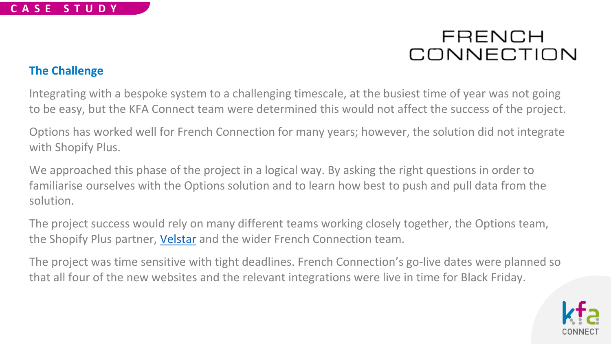#### **The Challenge**

Integrating with a bespoke system to a challenging timescale, at the busiest time of year was not going to be easy, but the KFA Connect team were determined this would not affect the success of the project.

Options has worked well for French Connection for many years; however, the solution did not integrate with Shopify Plus.

We approached this phase of the project in a logical way. By asking the right questions in order to familiarise ourselves with the Options solution and to learn how best to push and pull data from the solution.

The project success would rely on many different teams working closely together, the Options team, the Shopify Plus partner, *Velstar* and the wider French Connection team.

The project was time sensitive with tight deadlines. French Connection's go-live dates were planned so that all four of the new websites and the relevant integrations were live in time for Black Friday.

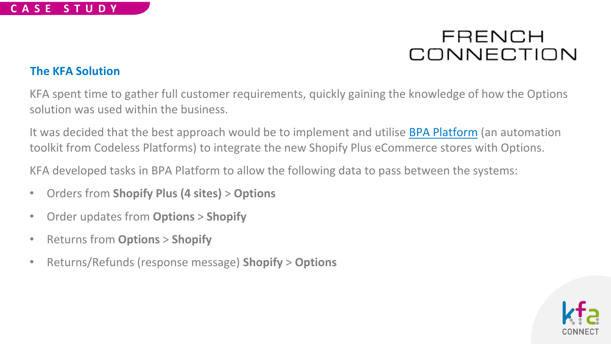#### **The KFA Solution**

KFA spent time to gather full customer requirements, quickly gaining the knowledge of how the Options solution was used within the business.

It was decided that the best approach would be to implement and utilise **[BPA Platform](https://www.codelessplatforms.com/business-process-automation-platform/)** (an automation toolkit from Codeless Platforms) to integrate the new Shopify Plus eCommerce stores with Options.

KFA developed tasks in BPA Platform to allow the following data to pass between the systems:

- Orders from **Shopify Plus (4 sites)** > **Options**
- Order updates from **Options** > **Shopify**
- Returns from **Options** > **Shopify**
- Returns/Refunds (response message) **Shopify** > **Options**

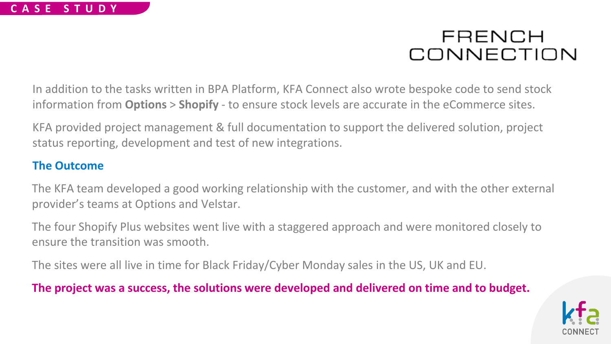In addition to the tasks written in BPA Platform, KFA Connect also wrote bespoke code to send stock information from **Options** > **Shopify** - to ensure stock levels are accurate in the eCommerce sites.

KFA provided project management & full documentation to support the delivered solution, project status reporting, development and test of new integrations.

#### **The Outcome**

The KFA team developed a good working relationship with the customer, and with the other external provider's teams at Options and Velstar.

The four Shopify Plus websites went live with a staggered approach and were monitored closely to ensure the transition was smooth.

The sites were all live in time for Black Friday/Cyber Monday sales in the US, UK and EU.

### **The project was a success, the solutions were developed and delivered on time and to budget.**

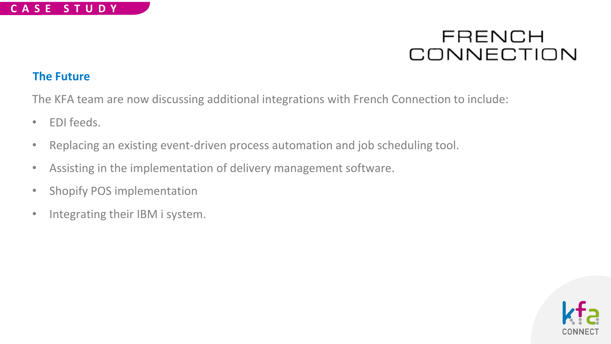#### **The Future**

The KFA team are now discussing additional integrations with French Connection to include:

- EDI feeds.
- Replacing an existing event-driven process automation and job scheduling tool.
- Assisting in the implementation of delivery management software.
- Shopify POS implementation
- Integrating their IBM i system.